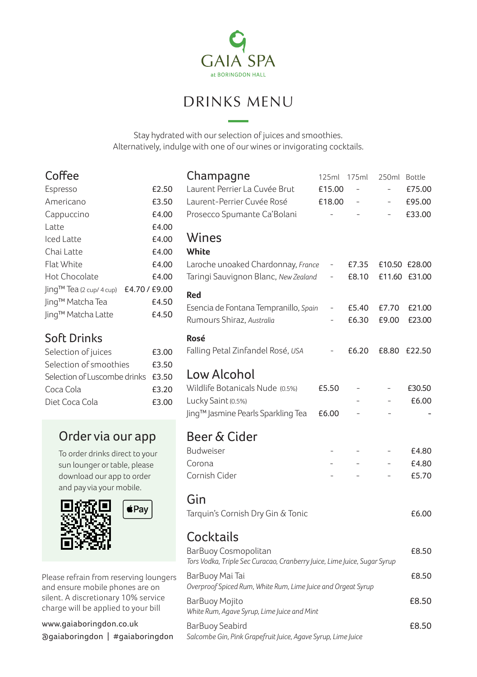

# DRINKS MENU

Stay hydrated with our selection of juices and smoothies. Alternatively, indulge with one of our wines or invigorating cocktails.

| Espresso                 | £2.50         |
|--------------------------|---------------|
| Americano                | £3.50         |
| Cappuccino               | £4.00         |
| l atte                   | £4.00         |
| lced Latte               | £4.00         |
| Chai Latte               | £4.00         |
| Flat White               | £4.00         |
| Hot Chocolate            | £4.00         |
| Jing™ Tea (2 cup/ 4 cup) | £4.70 / £9.00 |
| Jing™ Matcha Tea         | £4.50         |
| ling™ Matcha Latte       | £4.50         |

# Soft Drinks

| Selection of juices                | £3.00 |  |
|------------------------------------|-------|--|
| Selection of smoothies             | £3.50 |  |
| Selection of Luscombe drinks £3.50 |       |  |
| Coca Cola                          | £3.20 |  |
| Diet Coca Cola                     | £3.00 |  |

# Order via our app

To order drinks direct to your sun lounger or table, please download our app to order and pay via your mobile.



Please refrain from reserving loungers and ensure mobile phones are on silent. A discretionary 10% service charge will be applied to your bill

www.gaiaboringdon.co.uk @gaiaboringdon | #gaiaboringdon

|                                                                                                  | Champagne<br>Laurent Perrier La Cuvée Brut<br>Laurent-Perrier Cuyée Rosé<br>Prosecco Spumante Ca'Bolani | 125ml<br>£15.00<br>£18.00<br>$\overline{a}$ | 175ml          | 250ml          | Bottle<br>£75.00<br>£95.00<br>£33.00 |  |
|--------------------------------------------------------------------------------------------------|---------------------------------------------------------------------------------------------------------|---------------------------------------------|----------------|----------------|--------------------------------------|--|
|                                                                                                  | Wines<br>White                                                                                          |                                             |                |                |                                      |  |
|                                                                                                  | Laroche unoaked Chardonnay, France<br>Taringi Sauvignon Blanc, New Zealand                              | -                                           | £7.35<br>£8.10 |                | £10.50 £28.00<br>£11.60 £31.00       |  |
|                                                                                                  | Red                                                                                                     |                                             |                |                |                                      |  |
|                                                                                                  | Esencia de Fontana Tempranillo, Spain<br>Rumours Shiraz, Australia                                      |                                             | £5.40<br>£6.30 | £7.70<br>£9.00 | £21.00<br>£23.00                     |  |
|                                                                                                  | Rosé<br>Falling Petal Zinfandel Rosé, USA                                                               |                                             | £6.20          | £8.80          | £22.50                               |  |
|                                                                                                  | Low Alcohol                                                                                             |                                             |                |                |                                      |  |
|                                                                                                  | Wildlife Botanicals Nude (0.5%)<br>Lucky Saint (0.5%)                                                   | £5.50                                       |                |                | £30.50<br>£6.00                      |  |
|                                                                                                  | Jing™ Jasmine Pearls Sparkling Tea                                                                      | £6.00                                       |                |                |                                      |  |
|                                                                                                  | Beer & Cider                                                                                            |                                             |                |                |                                      |  |
|                                                                                                  | Budweiser                                                                                               |                                             |                |                | £4.80                                |  |
|                                                                                                  | Corona                                                                                                  |                                             |                |                | £4.80                                |  |
|                                                                                                  | Cornish Cider                                                                                           |                                             |                |                | £5.70                                |  |
|                                                                                                  | Gin                                                                                                     |                                             |                |                |                                      |  |
|                                                                                                  | Tarquin's Cornish Dry Gin & Tonic                                                                       |                                             |                |                | £6.00                                |  |
|                                                                                                  | Cocktails                                                                                               |                                             |                |                |                                      |  |
| BarBuoy Cosmopolitan<br>Tors Vodka, Triple Sec Curacao, Cranberry Juice, Lime Juice, Sugar Syrup |                                                                                                         |                                             |                |                | £8.50                                |  |
| Ś                                                                                                | BarBuoy Mai Tai<br>Overproof Spiced Rum, White Rum, Lime Juice and Orgeat Syrup                         |                                             |                |                |                                      |  |
|                                                                                                  | BarBuoy Mojito<br>White Rum, Agave Syrup, Lime Juice and Mint                                           |                                             |                |                | £8.50                                |  |
|                                                                                                  | <b>BarBuoy Seabird</b><br>Salcombe Gin, Pink Grapefruit Juice, Agave Syrup, Lime Juice                  |                                             |                |                | £8.50                                |  |